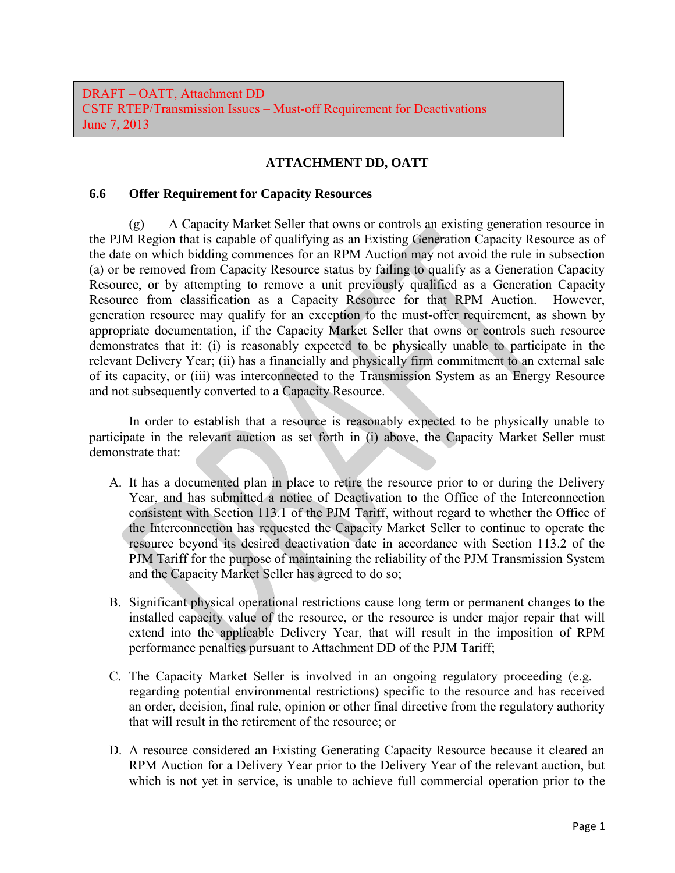DRAFT – OATT, Attachment DD CSTF RTEP/Transmission Issues – Must-off Requirement for Deactivations June 7, 2013

## **ATTACHMENT DD, OATT**

## **6.6 Offer Requirement for Capacity Resources**

 (g) A Capacity Market Seller that owns or controls an existing generation resource in the PJM Region that is capable of qualifying as an Existing Generation Capacity Resource as of the date on which bidding commences for an RPM Auction may not avoid the rule in subsection (a) or be removed from Capacity Resource status by failing to qualify as a Generation Capacity Resource, or by attempting to remove a unit previously qualified as a Generation Capacity Resource from classification as a Capacity Resource for that RPM Auction. However, generation resource may qualify for an exception to the must-offer requirement, as shown by appropriate documentation, if the Capacity Market Seller that owns or controls such resource demonstrates that it: (i) is reasonably expected to be physically unable to participate in the relevant Delivery Year; (ii) has a financially and physically firm commitment to an external sale of its capacity, or (iii) was interconnected to the Transmission System as an Energy Resource and not subsequently converted to a Capacity Resource.

 In order to establish that a resource is reasonably expected to be physically unable to participate in the relevant auction as set forth in (i) above, the Capacity Market Seller must demonstrate that:

- A. It has a documented plan in place to retire the resource prior to or during the Delivery Year, and has submitted a notice of Deactivation to the Office of the Interconnection consistent with Section 113.1 of the PJM Tariff, without regard to whether the Office of the Interconnection has requested the Capacity Market Seller to continue to operate the resource beyond its desired deactivation date in accordance with Section 113.2 of the PJM Tariff for the purpose of maintaining the reliability of the PJM Transmission System and the Capacity Market Seller has agreed to do so;
- B. Significant physical operational restrictions cause long term or permanent changes to the installed capacity value of the resource, or the resource is under major repair that will extend into the applicable Delivery Year, that will result in the imposition of RPM performance penalties pursuant to Attachment DD of the PJM Tariff;
- C. The Capacity Market Seller is involved in an ongoing regulatory proceeding (e.g. regarding potential environmental restrictions) specific to the resource and has received an order, decision, final rule, opinion or other final directive from the regulatory authority that will result in the retirement of the resource; or
- D. A resource considered an Existing Generating Capacity Resource because it cleared an RPM Auction for a Delivery Year prior to the Delivery Year of the relevant auction, but which is not yet in service, is unable to achieve full commercial operation prior to the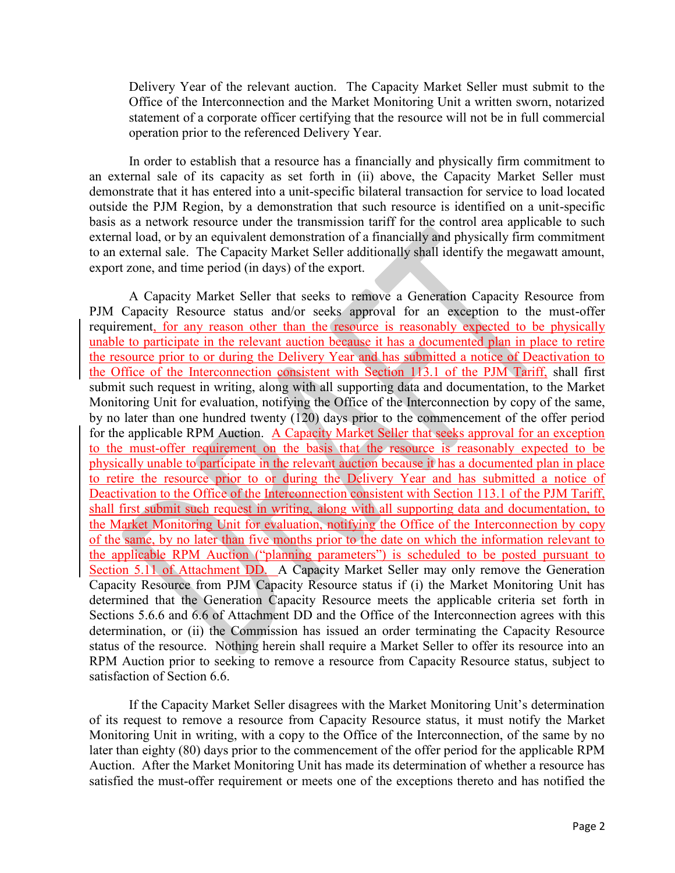Delivery Year of the relevant auction. The Capacity Market Seller must submit to the Office of the Interconnection and the Market Monitoring Unit a written sworn, notarized statement of a corporate officer certifying that the resource will not be in full commercial operation prior to the referenced Delivery Year.

In order to establish that a resource has a financially and physically firm commitment to an external sale of its capacity as set forth in (ii) above, the Capacity Market Seller must demonstrate that it has entered into a unit-specific bilateral transaction for service to load located outside the PJM Region, by a demonstration that such resource is identified on a unit-specific basis as a network resource under the transmission tariff for the control area applicable to such external load, or by an equivalent demonstration of a financially and physically firm commitment to an external sale. The Capacity Market Seller additionally shall identify the megawatt amount, export zone, and time period (in days) of the export.

A Capacity Market Seller that seeks to remove a Generation Capacity Resource from PJM Capacity Resource status and/or seeks approval for an exception to the must-offer requirement, for any reason other than the resource is reasonably expected to be physically unable to participate in the relevant auction because it has a documented plan in place to retire the resource prior to or during the Delivery Year and has submitted a notice of Deactivation to the Office of the Interconnection consistent with Section 113.1 of the PJM Tariff, shall first submit such request in writing, along with all supporting data and documentation, to the Market Monitoring Unit for evaluation, notifying the Office of the Interconnection by copy of the same, by no later than one hundred twenty (120) days prior to the commencement of the offer period for the applicable RPM Auction. A Capacity Market Seller that seeks approval for an exception to the must-offer requirement on the basis that the resource is reasonably expected to be physically unable to participate in the relevant auction because it has a documented plan in place to retire the resource prior to or during the Delivery Year and has submitted a notice of Deactivation to the Office of the Interconnection consistent with Section 113.1 of the PJM Tariff, shall first submit such request in writing, along with all supporting data and documentation, to the Market Monitoring Unit for evaluation, notifying the Office of the Interconnection by copy of the same, by no later than five months prior to the date on which the information relevant to the applicable RPM Auction ("planning parameters") is scheduled to be posted pursuant to Section 5.11 of Attachment DD. A Capacity Market Seller may only remove the Generation Capacity Resource from PJM Capacity Resource status if (i) the Market Monitoring Unit has determined that the Generation Capacity Resource meets the applicable criteria set forth in Sections 5.6.6 and 6.6 of Attachment DD and the Office of the Interconnection agrees with this determination, or (ii) the Commission has issued an order terminating the Capacity Resource status of the resource. Nothing herein shall require a Market Seller to offer its resource into an RPM Auction prior to seeking to remove a resource from Capacity Resource status, subject to satisfaction of Section 6.6.

If the Capacity Market Seller disagrees with the Market Monitoring Unit's determination of its request to remove a resource from Capacity Resource status, it must notify the Market Monitoring Unit in writing, with a copy to the Office of the Interconnection, of the same by no later than eighty (80) days prior to the commencement of the offer period for the applicable RPM Auction. After the Market Monitoring Unit has made its determination of whether a resource has satisfied the must-offer requirement or meets one of the exceptions thereto and has notified the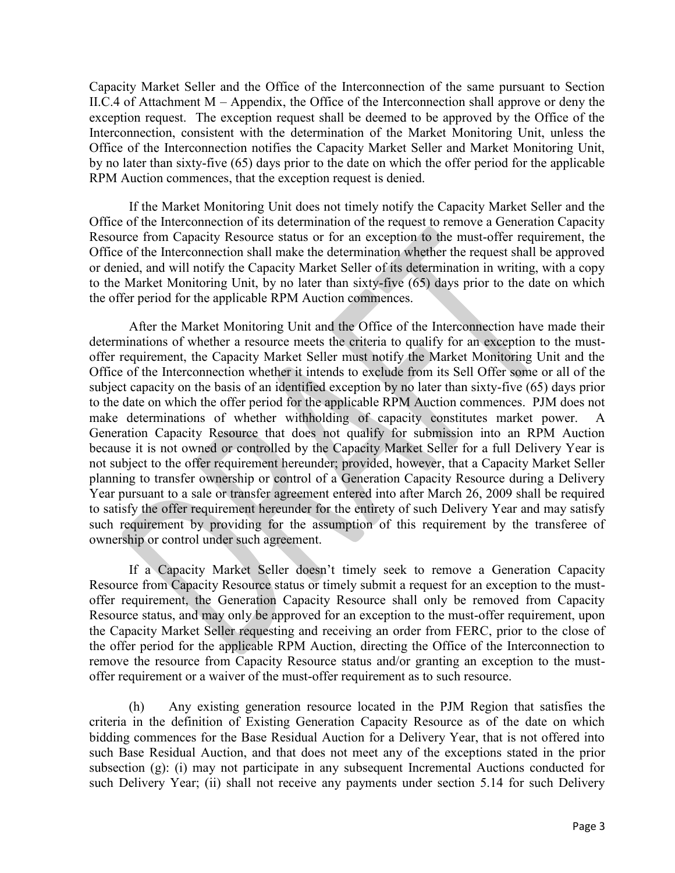Capacity Market Seller and the Office of the Interconnection of the same pursuant to Section II.C.4 of Attachment M – Appendix, the Office of the Interconnection shall approve or deny the exception request. The exception request shall be deemed to be approved by the Office of the Interconnection, consistent with the determination of the Market Monitoring Unit, unless the Office of the Interconnection notifies the Capacity Market Seller and Market Monitoring Unit, by no later than sixty-five (65) days prior to the date on which the offer period for the applicable RPM Auction commences, that the exception request is denied.

If the Market Monitoring Unit does not timely notify the Capacity Market Seller and the Office of the Interconnection of its determination of the request to remove a Generation Capacity Resource from Capacity Resource status or for an exception to the must-offer requirement, the Office of the Interconnection shall make the determination whether the request shall be approved or denied, and will notify the Capacity Market Seller of its determination in writing, with a copy to the Market Monitoring Unit, by no later than sixty-five (65) days prior to the date on which the offer period for the applicable RPM Auction commences.

After the Market Monitoring Unit and the Office of the Interconnection have made their determinations of whether a resource meets the criteria to qualify for an exception to the mustoffer requirement, the Capacity Market Seller must notify the Market Monitoring Unit and the Office of the Interconnection whether it intends to exclude from its Sell Offer some or all of the subject capacity on the basis of an identified exception by no later than sixty-five (65) days prior to the date on which the offer period for the applicable RPM Auction commences. PJM does not make determinations of whether withholding of capacity constitutes market power. A Generation Capacity Resource that does not qualify for submission into an RPM Auction because it is not owned or controlled by the Capacity Market Seller for a full Delivery Year is not subject to the offer requirement hereunder; provided, however, that a Capacity Market Seller planning to transfer ownership or control of a Generation Capacity Resource during a Delivery Year pursuant to a sale or transfer agreement entered into after March 26, 2009 shall be required to satisfy the offer requirement hereunder for the entirety of such Delivery Year and may satisfy such requirement by providing for the assumption of this requirement by the transferee of ownership or control under such agreement.

If a Capacity Market Seller doesn't timely seek to remove a Generation Capacity Resource from Capacity Resource status or timely submit a request for an exception to the mustoffer requirement, the Generation Capacity Resource shall only be removed from Capacity Resource status, and may only be approved for an exception to the must-offer requirement, upon the Capacity Market Seller requesting and receiving an order from FERC, prior to the close of the offer period for the applicable RPM Auction, directing the Office of the Interconnection to remove the resource from Capacity Resource status and/or granting an exception to the mustoffer requirement or a waiver of the must-offer requirement as to such resource.

 (h) Any existing generation resource located in the PJM Region that satisfies the criteria in the definition of Existing Generation Capacity Resource as of the date on which bidding commences for the Base Residual Auction for a Delivery Year, that is not offered into such Base Residual Auction, and that does not meet any of the exceptions stated in the prior subsection (g): (i) may not participate in any subsequent Incremental Auctions conducted for such Delivery Year; (ii) shall not receive any payments under section 5.14 for such Delivery